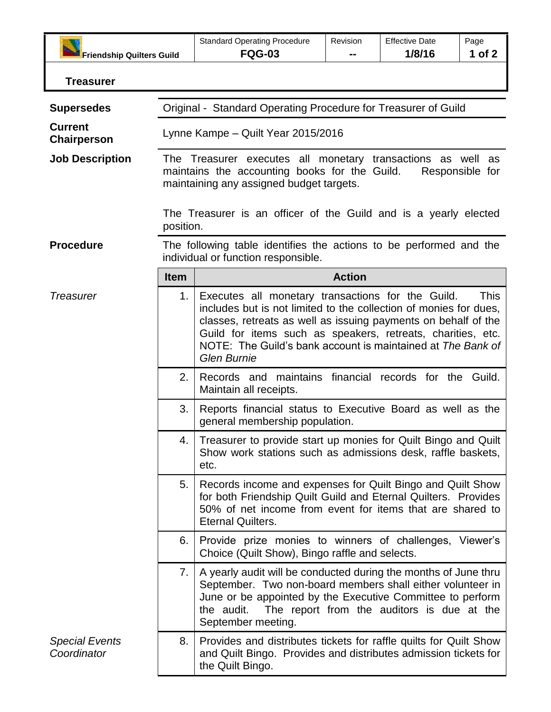| <b>Friendship Quilters Guild</b>     |                                                                                                                                                                             | <b>Standard Operating Procedure</b><br><b>FQG-03</b>                                                                                                                                                                                                                                                                                         | Revision | <b>Effective Date</b><br>1/8/16            | Page<br>1 of $2$ |
|--------------------------------------|-----------------------------------------------------------------------------------------------------------------------------------------------------------------------------|----------------------------------------------------------------------------------------------------------------------------------------------------------------------------------------------------------------------------------------------------------------------------------------------------------------------------------------------|----------|--------------------------------------------|------------------|
| <b>Treasurer</b>                     |                                                                                                                                                                             |                                                                                                                                                                                                                                                                                                                                              |          |                                            |                  |
| <b>Supersedes</b>                    | Original - Standard Operating Procedure for Treasurer of Guild                                                                                                              |                                                                                                                                                                                                                                                                                                                                              |          |                                            |                  |
| <b>Current</b><br>Chairperson        | Lynne Kampe - Quilt Year 2015/2016                                                                                                                                          |                                                                                                                                                                                                                                                                                                                                              |          |                                            |                  |
| <b>Job Description</b>               | The Treasurer executes all monetary transactions as well as<br>maintains the accounting books for the Guild.<br>Responsible for<br>maintaining any assigned budget targets. |                                                                                                                                                                                                                                                                                                                                              |          |                                            |                  |
|                                      | The Treasurer is an officer of the Guild and is a yearly elected<br>position.                                                                                               |                                                                                                                                                                                                                                                                                                                                              |          |                                            |                  |
| <b>Procedure</b>                     | The following table identifies the actions to be performed and the<br>individual or function responsible.                                                                   |                                                                                                                                                                                                                                                                                                                                              |          |                                            |                  |
|                                      | <b>Item</b>                                                                                                                                                                 | <b>Action</b>                                                                                                                                                                                                                                                                                                                                |          |                                            |                  |
| <b>Treasurer</b>                     | 1.                                                                                                                                                                          | Executes all monetary transactions for the Guild.<br>includes but is not limited to the collection of monies for dues,<br>classes, retreats as well as issuing payments on behalf of the<br>Guild for items such as speakers, retreats, charities, etc.<br>NOTE: The Guild's bank account is maintained at The Bank of<br><b>Glen Burnie</b> |          |                                            | This             |
|                                      | 2.                                                                                                                                                                          | Records and maintains financial records for the Guild.<br>Maintain all receipts.                                                                                                                                                                                                                                                             |          |                                            |                  |
|                                      | 3.                                                                                                                                                                          | Reports financial status to Executive Board as well as the<br>general membership population.                                                                                                                                                                                                                                                 |          |                                            |                  |
|                                      | 4.                                                                                                                                                                          | Treasurer to provide start up monies for Quilt Bingo and Quilt<br>Show work stations such as admissions desk, raffle baskets,<br>etc.                                                                                                                                                                                                        |          |                                            |                  |
|                                      | 5.                                                                                                                                                                          | Records income and expenses for Quilt Bingo and Quilt Show<br>for both Friendship Quilt Guild and Eternal Quilters. Provides<br>50% of net income from event for items that are shared to<br><b>Eternal Quilters.</b>                                                                                                                        |          |                                            |                  |
|                                      | 6.                                                                                                                                                                          | Provide prize monies to winners of challenges, Viewer's<br>Choice (Quilt Show), Bingo raffle and selects.                                                                                                                                                                                                                                    |          |                                            |                  |
|                                      | 7.                                                                                                                                                                          | A yearly audit will be conducted during the months of June thru<br>September. Two non-board members shall either volunteer in<br>June or be appointed by the Executive Committee to perform<br>the audit.<br>September meeting.                                                                                                              |          | The report from the auditors is due at the |                  |
| <b>Special Events</b><br>Coordinator | 8.                                                                                                                                                                          | Provides and distributes tickets for raffle quilts for Quilt Show<br>and Quilt Bingo. Provides and distributes admission tickets for<br>the Quilt Bingo.                                                                                                                                                                                     |          |                                            |                  |